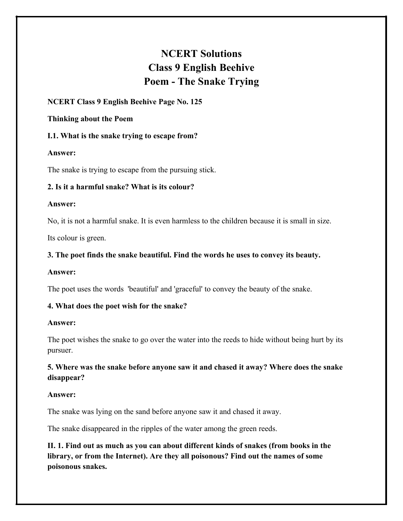# **NCERT Solutions Class 9 English Beehive Poem - The Snake Trying**

# **NCERT Class 9 English Beehive Page No. 125**

#### **Thinking about the Poem**

# **I.1. What is the snake trying to escape from?**

#### **Answer:**

The snake is trying to escape from the pursuing stick.

# **2. Is it a harmful snake? What is its colour?**

#### **Answer:**

No, it is not a harmful snake. It is even harmless to the children because it is small in size.

Its colour is green.

# **3. The poet finds the snake beautiful. Find the words he uses to convey its beauty.**

# **Answer:**

The poet uses the words 'beautiful' and 'graceful' to convey the beauty of the snake.

# **4. What does the poet wish for the snake?**

# **Answer:**

The poet wishes the snake to go over the water into the reeds to hide without being hurt by its pursuer.

**5. Where was the snake before anyone saw it and chased it away? Where does the snake disappear?**

# **Answer:**

The snake was lying on the sand before anyone saw it and chased it away.

The snake disappeared in the ripples of the water among the green reeds.

**II. 1. Find out as much as you can about different kinds of snakes (from books in the library, or from the Internet). Are they all poisonous? Find out the names of some poisonous snakes.**